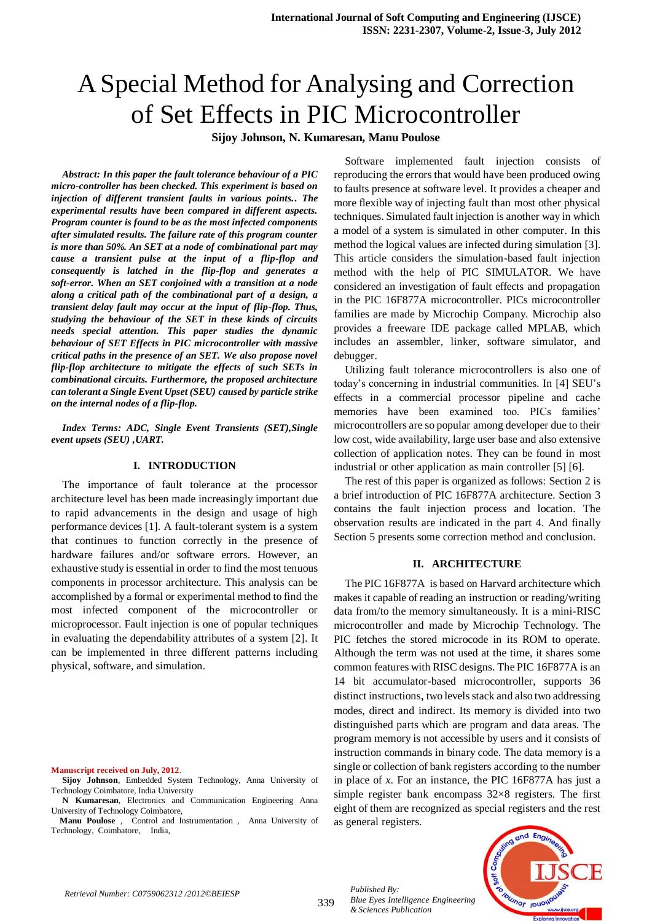# A Special Method for Analysing and Correction of Set Effects in PIC Microcontroller

**Sijoy Johnson, N. Kumaresan, Manu Poulose**

*Abstract: In this paper the fault tolerance behaviour of a PIC micro-controller has been checked. This experiment is based on injection of different transient faults in various points.. The experimental results have been compared in different aspects. Program counter is found to be as the most infected components after simulated results. The failure rate of this program counter is more than 50%. An SET at a node of combinational part may cause a transient pulse at the input of a flip-flop and consequently is latched in the flip-flop and generates a soft-error. When an SET conjoined with a transition at a node along a critical path of the combinational part of a design, a transient delay fault may occur at the input of flip-flop. Thus, studying the behaviour of the SET in these kinds of circuits needs special attention. This paper studies the dynamic behaviour of SET Effects in PIC microcontroller with massive critical paths in the presence of an SET. We also propose novel flip-flop architecture to mitigate the effects of such SETs in combinational circuits. Furthermore, the proposed architecture can tolerant a Single Event Upset (SEU) caused by particle strike on the internal nodes of a flip-flop.*

*Index Terms: ADC, Single Event Transients (SET),Single event upsets (SEU) ,UART.* 

# **I. INTRODUCTION**

The importance of fault tolerance at the processor architecture level has been made increasingly important due to rapid advancements in the design and usage of high performance devices [1]. A fault-tolerant system is a system that continues to function correctly in the presence of hardware failures and/or software errors. However, an exhaustive study is essential in order to find the most tenuous components in processor architecture. This analysis can be accomplished by a formal or experimental method to find the most infected component of the microcontroller or microprocessor. Fault injection is one of popular techniques in evaluating the dependability attributes of a system [2]. It can be implemented in three different patterns including physical, software, and simulation.

#### **Manuscript received on July, 2012**.

**Sijoy Johnson**, Embedded System Technology, Anna University of Technology Coimbatore, India University

**N Kumaresan**, Electronics and Communication Engineering Anna University of Technology Coimbatore,

 **Manu Poulose** , Control and Instrumentation , Anna University of Technology, Coimbatore, India,

Software implemented fault injection consists of reproducing the errors that would have been produced owing to faults presence at software level. It provides a cheaper and more flexible way of injecting fault than most other physical techniques. Simulated fault injection is another way in which a model of a system is simulated in other computer. In this method the logical values are infected during simulation [3]. This article considers the simulation-based fault injection method with the help of PIC SIMULATOR. We have considered an investigation of fault effects and propagation in the PIC 16F877A microcontroller. PICs microcontroller families are made by Microchip Company. Microchip also provides a freeware IDE package called MPLAB, which includes an assembler, linker, software simulator, and debugger.

Utilizing fault tolerance microcontrollers is also one of today's concerning in industrial communities. In [4] SEU's effects in a commercial processor pipeline and cache memories have been examined too. PICs families' microcontrollers are so popular among developer due to their low cost, wide availability, large user base and also extensive collection of application notes. They can be found in most industrial or other application as main controller [5] [6].

The rest of this paper is organized as follows: Section 2 is a brief introduction of PIC 16F877A architecture. Section 3 contains the fault injection process and location. The observation results are indicated in the part 4. And finally Section 5 presents some correction method and conclusion.

#### **II. ARCHITECTURE**

The PIC 16F877A is based on Harvard architecture which makes it capable of reading an instruction or reading/writing data from/to the memory simultaneously. It is a mini-RISC microcontroller and made by Microchip Technology. The PIC fetches the stored microcode in its ROM to operate. Although the term was not used at the time, it shares some common features with RISC designs. The PIC 16F877A is an 14 bit accumulator-based microcontroller, supports 36 distinct instructions, two levels stack and also two addressing modes, direct and indirect. Its memory is divided into two distinguished parts which are program and data areas. The program memory is not accessible by users and it consists of instruction commands in binary code. The data memory is a single or collection of bank registers according to the number in place of *x*. For an instance, the PIC 16F877A has just a simple register bank encompass 32×8 registers. The first eight of them are recognized as special registers and the rest as general registers.



339

*Published By:*

*& Sciences Publication* 

*Blue Eyes Intelligence Engineering*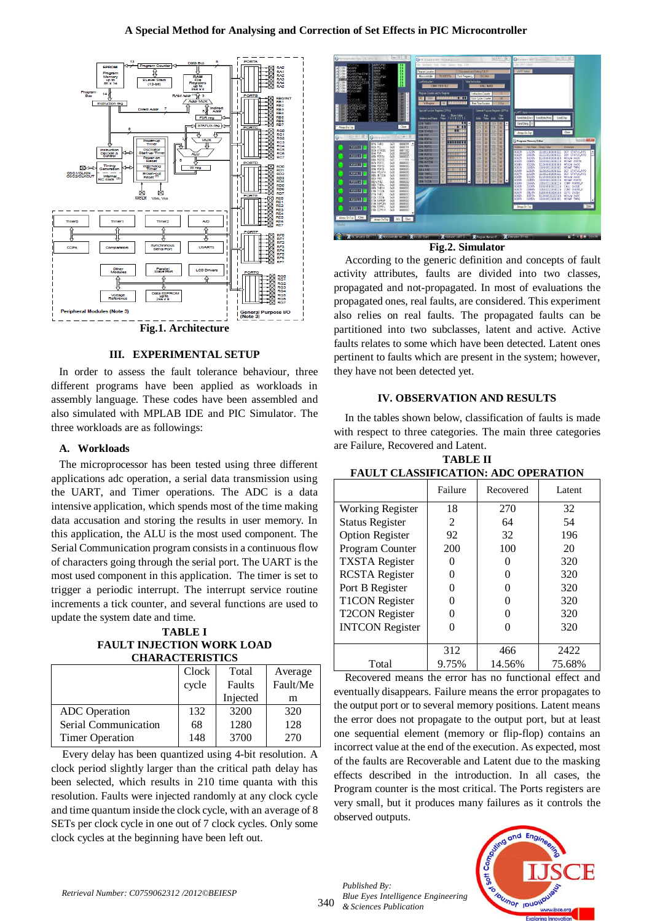# **A Special Method for Analysing and Correction of Set Effects in PIC Microcontroller**



# **Fig.1. Architecture**

# **III. EXPERIMENTAL SETUP**

In order to assess the fault tolerance behaviour, three different programs have been applied as workloads in assembly language. These codes have been assembled and also simulated with MPLAB IDE and PIC Simulator. The three workloads are as followings:

## **A. Workloads**

The microprocessor has been tested using three different applications adc operation, a serial data transmission using the UART, and Timer operations. The ADC is a data intensive application, which spends most of the time making data accusation and storing the results in user memory. In this application, the ALU is the most used component. The Serial Communication program consists in a continuous flow of characters going through the serial port. The UART is the most used component in this application. The timer is set to trigger a periodic interrupt. The interrupt service routine increments a tick counter, and several functions are used to update the system date and time.

**TABLE I FAULT INJECTION WORK LOAD CHARACTERISTICS**

|                        | Clock | Total    | Average  |
|------------------------|-------|----------|----------|
|                        | cycle | Faults   | Fault/Me |
|                        |       | Injected | m        |
| <b>ADC</b> Operation   | 132   | 3200     | 320      |
| Serial Communication   | 68    | 1280     | 128      |
| <b>Timer Operation</b> | 148   | 3700     | 270      |

Every delay has been quantized using 4-bit resolution. A clock period slightly larger than the critical path delay has been selected, which results in 210 time quanta with this resolution. Faults were injected randomly at any clock cycle and time quantum inside the clock cycle, with an average of 8 SETs per clock cycle in one out of 7 clock cycles. Only some clock cycles at the beginning have been left out.



According to the generic definition and concepts of fault activity attributes, faults are divided into two classes, propagated and not-propagated. In most of evaluations the propagated ones, real faults, are considered. This experiment also relies on real faults. The propagated faults can be partitioned into two subclasses, latent and active. Active faults relates to some which have been detected. Latent ones pertinent to faults which are present in the system; however, they have not been detected yet.

#### **IV. OBSERVATION AND RESULTS**

In the tables shown below, classification of faults is made with respect to three categories. The main three categories are Failure, Recovered and Latent.

| <b>TABLE II</b>                            |  |  |  |  |
|--------------------------------------------|--|--|--|--|
| <b>FAULT CLASSIFICATION: ADC OPERATION</b> |  |  |  |  |

|                         | Failure        | Recovered | Latent |
|-------------------------|----------------|-----------|--------|
| <b>Working Register</b> | 18             | 270       | 32     |
| <b>Status Register</b>  | $\mathfrak{D}$ | 64        | 54     |
| <b>Option Register</b>  | 92             | 32        | 196    |
| Program Counter         | 200            | 100       | 20     |
| <b>TXSTA</b> Register   |                |           | 320    |
| <b>RCSTA</b> Register   |                |           | 320    |
| Port B Register         |                |           | 320    |
| <b>T1CON</b> Register   |                |           | 320    |
| <b>T2CON Register</b>   |                |           | 320    |
| <b>INTCON Register</b>  |                |           | 320    |
|                         |                |           |        |
|                         | 312            | 466       | 2422   |
| Total                   | 9.75%          | 14.56%    | 75.68% |

Recovered means the error has no functional effect and eventually disappears. Failure means the error propagates to the output port or to several memory positions. Latent means the error does not propagate to the output port, but at least one sequential element (memory or flip-flop) contains an incorrect value at the end of the execution. As expected, most of the faults are Recoverable and Latent due to the masking effects described in the introduction. In all cases, the Program counter is the most critical. The Ports registers are very small, but it produces many failures as it controls the observed outputs.



*Blue Eyes Intelligence Engineering & Sciences Publication* 

*Published By:*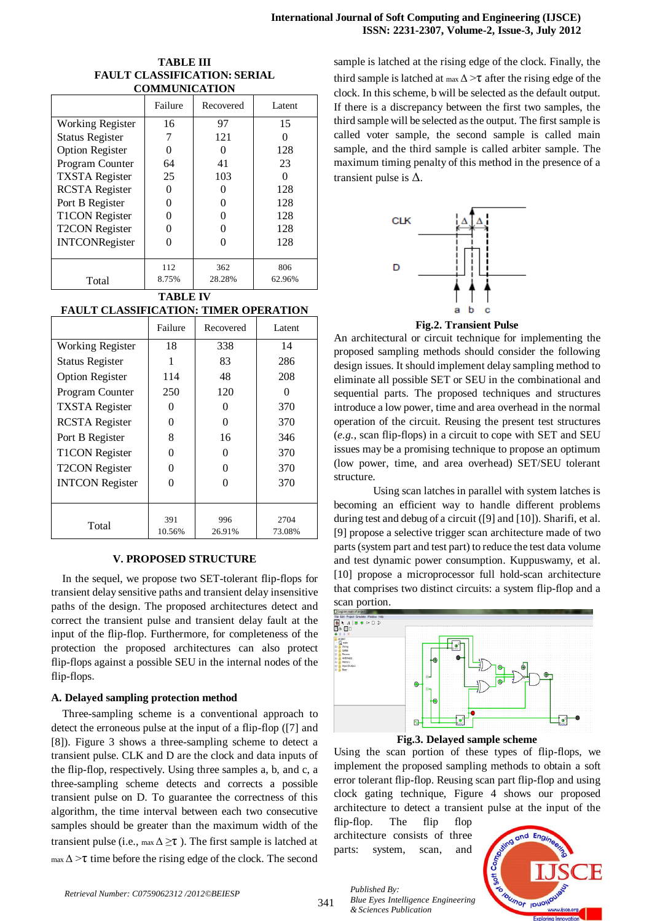## **TABLE III FAULT CLASSIFICATION: SERIAL COMMUNICATION**

|                        | Failure | Recovered | Latent |
|------------------------|---------|-----------|--------|
| Working Register       | 16      | 97        | 15     |
| <b>Status Register</b> |         | 121       |        |
| <b>Option Register</b> |         |           | 128    |
| Program Counter        | 64      | 41        | 23     |
| <b>TXSTA</b> Register  | 25      | 103       |        |
| <b>RCSTA</b> Register  |         |           | 128    |
| Port B Register        |         |           | 128    |
| <b>T1CON</b> Register  |         |           | 128    |
| <b>T2CON</b> Register  |         |           | 128    |
| <b>INTCONRegister</b>  |         |           | 128    |
|                        |         |           |        |
|                        | 112     | 362       | 806    |
| Total                  | 8.75%   | 28.28%    | 62.96% |

## **TABLE IV FAULT CLASSIFICATION: TIMER OPERATION**

|                         | Failure       | Recovered         | Latent         |
|-------------------------|---------------|-------------------|----------------|
| <b>Working Register</b> | 18            | 338               | 14             |
| <b>Status Register</b>  |               | 83                | 286            |
| <b>Option Register</b>  | 114           | 48                | 208            |
| Program Counter         | 250           | 120               |                |
| <b>TXSTA</b> Register   | 0             | $\mathbf{\Omega}$ | 370            |
| <b>RCSTA</b> Register   | 0             |                   | 370            |
| Port B Register         | 8             | 16                | 346            |
| <b>T1CON Register</b>   | 0             | $\mathbf{\Omega}$ | 370            |
| <b>T2CON Register</b>   | 0             |                   | 370            |
| <b>INTCON Register</b>  |               |                   | 370            |
|                         |               |                   |                |
| Total                   | 391<br>10.56% | 996<br>26.91%     | 2704<br>73.08% |

## **V. PROPOSED STRUCTURE**

In the sequel, we propose two SET-tolerant flip-flops for transient delay sensitive paths and transient delay insensitive paths of the design. The proposed architectures detect and correct the transient pulse and transient delay fault at the input of the flip-flop. Furthermore, for completeness of the protection the proposed architectures can also protect flip-flops against a possible SEU in the internal nodes of the flip-flops.

# **A. Delayed sampling protection method**

Three-sampling scheme is a conventional approach to detect the erroneous pulse at the input of a flip-flop ([7] and [8]). Figure 3 shows a three-sampling scheme to detect a transient pulse. CLK and D are the clock and data inputs of the flip-flop, respectively. Using three samples a, b, and c, a three-sampling scheme detects and corrects a possible transient pulse on D. To guarantee the correctness of this algorithm, the time interval between each two consecutive samples should be greater than the maximum width of the transient pulse (i.e.,  $\max \Delta \geq \tau$ ). The first sample is latched at  $\max \Delta > \tau$  time before the rising edge of the clock. The second sample is latched at the rising edge of the clock. Finally, the third sample is latched at  $\max \Delta > \tau$  after the rising edge of the clock. In this scheme, b will be selected as the default output. If there is a discrepancy between the first two samples, the third sample will be selected as the output. The first sample is called voter sample, the second sample is called main sample, and the third sample is called arbiter sample. The maximum timing penalty of this method in the presence of a transient pulse is  $\Delta$ .





An architectural or circuit technique for implementing the proposed sampling methods should consider the following design issues. It should implement delay sampling method to eliminate all possible SET or SEU in the combinational and sequential parts. The proposed techniques and structures introduce a low power, time and area overhead in the normal operation of the circuit. Reusing the present test structures (*e.g.*, scan flip-flops) in a circuit to cope with SET and SEU issues may be a promising technique to propose an optimum (low power, time, and area overhead) SET/SEU tolerant structure.

Using scan latches in parallel with system latches is becoming an efficient way to handle different problems during test and debug of a circuit ([9] and [10]). Sharifi, et al. [9] propose a selective trigger scan architecture made of two parts (system part and test part) to reduce the test data volume and test dynamic power consumption. Kuppuswamy, et al. [10] propose a microprocessor full hold-scan architecture that comprises two distinct circuits: a system flip-flop and a scan portion.



**Fig.3. Delayed sample scheme**

Using the scan portion of these types of flip-flops, we implement the proposed sampling methods to obtain a soft error tolerant flip-flop. Reusing scan part flip-flop and using clock gating technique, Figure 4 shows our proposed architecture to detect a transient pulse at the input of the

flip-flop. The flip flop architecture consists of three parts: system, scan, and



*Published By: Blue Eyes Intelligence Engineering & Sciences Publication*